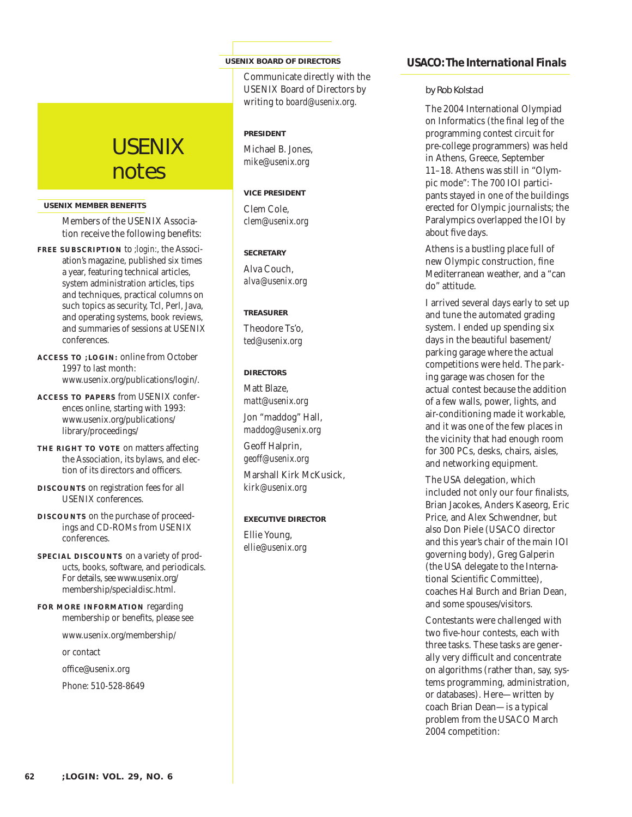# **USENIX** notes

#### **USENIX MEMBER BENEFITS**

Members of the USENIX Association receive the following benefits:

- **F R EE SUBSCRIPTION** to *;login:*, the Association's magazine, published six times a year, featuring technical articles, system administration articles, tips and techniques, practical columns on such topics as security, Tcl, Perl, Java, and operating systems, book reviews, and summaries of sessions at USENIX conferences.
- **ACCESS TO ;LOGIN:** online from October 1997 to last month: www.usenix.org/publications/login/.
- **ACCESS TO PAPERS** from USENIX conferences online, starting with 1993: www.usenix.org/publications/ library/proceedings/
- **THE RIGHT TO VOTE** on matters affecting the Association, its bylaws, and election of its directors and officers.
- **DISC OUNTS** on registration fees for all USENIX conferences.
- **DISC OUNTS** on the purchase of proceedings and CD-ROMs from USENIX conferences.
- **SPECIAL DISCOUNTS** on a variety of products, books, software, and periodicals. For details, see www.usenix.org/ membership/specialdisc.html.
- **FOR MORE INFORMATION** regarding membership or benefits, please see

www.usenix.org/membership/

or contact

office@usenix.org

Phone: 510-528-8649

#### **USENIX BOARD OF DIRECTORS**

Communicate directly with the USENIX Board of Directors by writing to *board@usenix.org*.

## **P RESIDENT**

Michael B. Jones, *mike@usenix.org*

# **VICE PRESIDENT**

Clem Cole, *clem@usenix.org*

# **SECRETARY**

Alva Couch, *alva@usenix.org*

#### **TREAS URE R**

Theodore Ts'o, *ted@usenix.org*

## **DIRECTORS**

Matt Blaze, *matt@usenix.org* Jon "maddog" Hall, *maddog@usenix.org*

Geoff Halprin, *geoff@usenix.org*

Marshall Kirk McKusick, *kirk@usenix.org*

#### **EXECUTIVE DIRECTOR**

Ellie Young, *ellie@usenix.org*

# **USACO: The International Finals**

# *by Rob Kolstad*

The 2004 International Olympiad on Informatics (the final leg of the programming contest circuit for pre-college programmers) was held in Athens, Greece, September 11–18. Athens was still in "Olympic mode": The 700 IOI participants stayed in one of the buildings erected for Olympic journalists; the Paralympics overlapped the IOI by about five days.

Athens is a bustling place full of new Olympic construction, fine Mediterranean weather, and a "can do" attitude.

I arrived several days early to set up and tune the automated grading system. I ended up spending six days in the beautiful basement/ parking garage where the actual competitions were held. The parking garage was chosen for the actual contest because the addition of a few walls, power, lights, and air-conditioning made it workable, and it was one of the few places in the vicinity that had enough room for 300 PCs, desks, chairs, aisles, and networking equipment.

The USA delegation, which included not only our four finalists, Brian Jacokes, Anders Kaseorg, Eric Price, and Alex Schwendner, but also Don Piele (USACO director and this year's chair of the main IOI governing body), Greg Galperin (the USA delegate to the International Scientific Committee), coaches Hal Burch and Brian Dean, and some spouses/visitors.

Contestants were challenged with two five-hour contests, each with three tasks. These tasks are generally very difficult and concentrate on algorithms (rather than, say, systems programming, administration, or databases). Here—written by coach Brian Dean—is a typical problem from the USACO March 2004 competition: